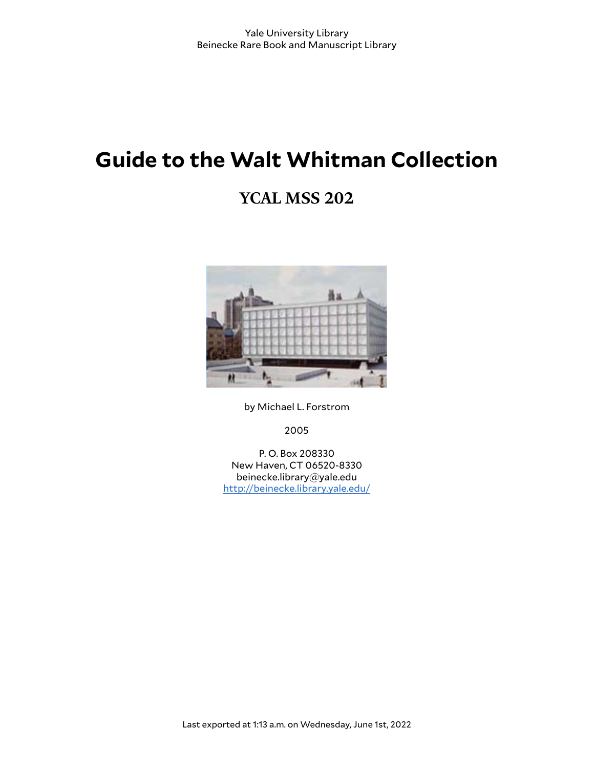# **Guide to the Walt Whitman Collection**

# **YCAL MSS 202**



by Michael L. Forstrom

2005

P. O. Box 208330 New Haven, CT 06520-8330 beinecke.library@yale.edu <http://beinecke.library.yale.edu/>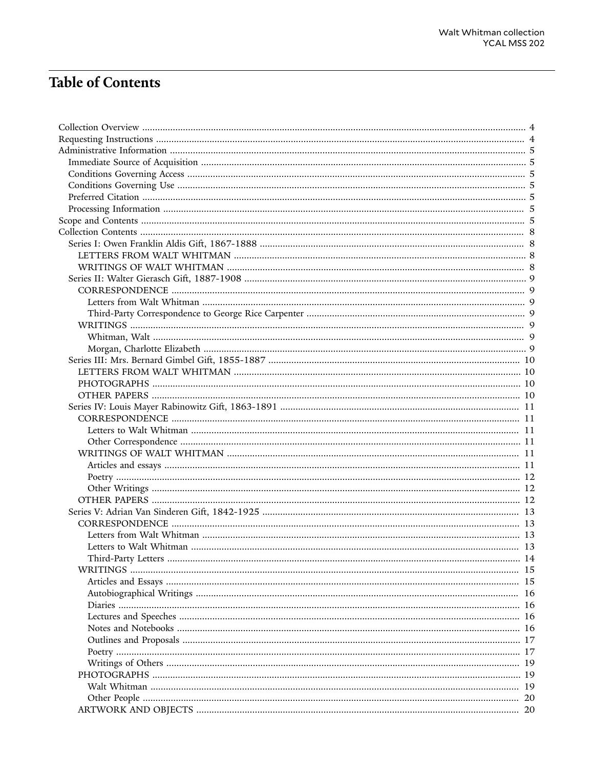# **Table of Contents**

| 19 |
|----|
|    |
|    |
|    |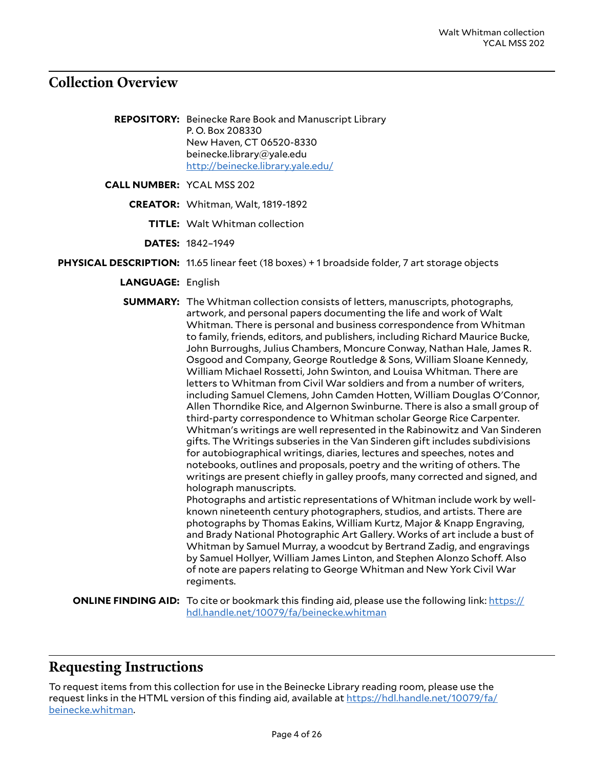# <span id="page-3-0"></span>**Collection Overview**

**REPOSITORY:** Beinecke Rare Book and Manuscript Library P. O. Box 208330 New Haven, CT 06520-8330 beinecke.library@yale.edu <http://beinecke.library.yale.edu/>

**CALL NUMBER:** YCAL MSS 202

**CREATOR:** Whitman, Walt, 1819-1892

regiments.

- **TITLE:** Walt Whitman collection
- **DATES:** 1842–1949
- **PHYSICAL DESCRIPTION:** 11.65 linear feet (18 boxes) + 1 broadside folder, 7 art storage objects
	- **LANGUAGE:** English

**SUMMARY:** The Whitman collection consists of letters, manuscripts, photographs, artwork, and personal papers documenting the life and work of Walt Whitman. There is personal and business correspondence from Whitman to family, friends, editors, and publishers, including Richard Maurice Bucke, John Burroughs, Julius Chambers, Moncure Conway, Nathan Hale, James R. Osgood and Company, George Routledge & Sons, William Sloane Kennedy, William Michael Rossetti, John Swinton, and Louisa Whitman. There are letters to Whitman from Civil War soldiers and from a number of writers, including Samuel Clemens, John Camden Hotten, William Douglas O'Connor, Allen Thorndike Rice, and Algernon Swinburne. There is also a small group of third-party correspondence to Whitman scholar George Rice Carpenter. Whitman's writings are well represented in the Rabinowitz and Van Sinderen gifts. The Writings subseries in the Van Sinderen gift includes subdivisions for autobiographical writings, diaries, lectures and speeches, notes and notebooks, outlines and proposals, poetry and the writing of others. The writings are present chiefly in galley proofs, many corrected and signed, and holograph manuscripts. Photographs and artistic representations of Whitman include work by wellknown nineteenth century photographers, studios, and artists. There are photographs by Thomas Eakins, William Kurtz, Major & Knapp Engraving, and Brady National Photographic Art Gallery. Works of art include a bust of Whitman by Samuel Murray, a woodcut by Bertrand Zadig, and engravings by Samuel Hollyer, William James Linton, and Stephen Alonzo Schoff. Also

of note are papers relating to George Whitman and New York Civil War

**ONLINE FINDING AID:** To cite or bookmark this finding aid, please use the following link: [https://](https://hdl.handle.net/10079/fa/beinecke.whitman) [hdl.handle.net/10079/fa/beinecke.whitman](https://hdl.handle.net/10079/fa/beinecke.whitman)

# <span id="page-3-1"></span>**Requesting Instructions**

To request items from this collection for use in the Beinecke Library reading room, please use the request links in the HTML version of this finding aid, available at [https://hdl.handle.net/10079/fa/](https://hdl.handle.net/10079/fa/beinecke.whitman) [beinecke.whitman.](https://hdl.handle.net/10079/fa/beinecke.whitman)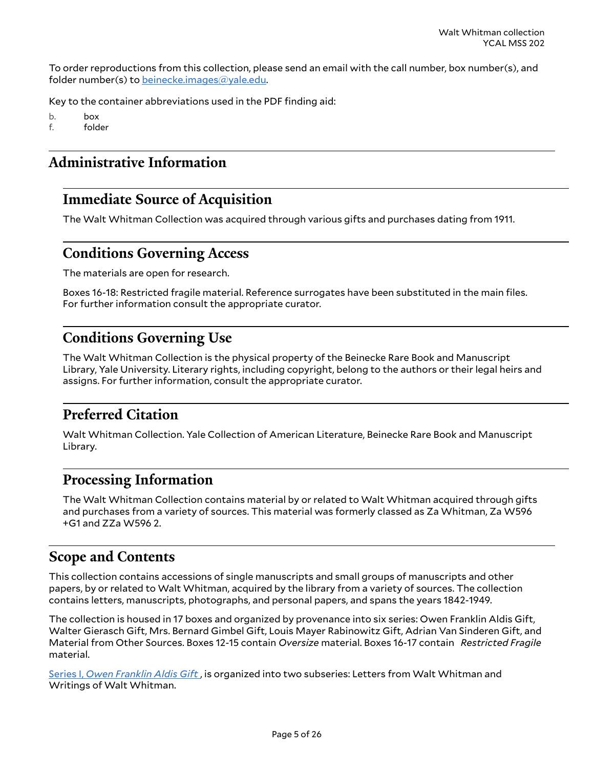To order reproductions from this collection, please send an email with the call number, box number(s), and folder number(s) to [beinecke.images@yale.edu.](mailto:beinecke.images@yale.edu)

Key to the container abbreviations used in the PDF finding aid:

b. box f. folder

# <span id="page-4-0"></span>**Administrative Information**

# <span id="page-4-1"></span>**Immediate Source of Acquisition**

The Walt Whitman Collection was acquired through various gifts and purchases dating from 1911.

# <span id="page-4-2"></span>**Conditions Governing Access**

The materials are open for research.

Boxes 16-18: Restricted fragile material. Reference surrogates have been substituted in the main files. For further information consult the appropriate curator.

# <span id="page-4-3"></span>**Conditions Governing Use**

The Walt Whitman Collection is the physical property of the Beinecke Rare Book and Manuscript Library, Yale University. Literary rights, including copyright, belong to the authors or their legal heirs and assigns. For further information, consult the appropriate curator.

# <span id="page-4-4"></span>**Preferred Citation**

Walt Whitman Collection. Yale Collection of American Literature, Beinecke Rare Book and Manuscript Library.

# <span id="page-4-5"></span>**Processing Information**

The Walt Whitman Collection contains material by or related to Walt Whitman acquired through gifts and purchases from a variety of sources. This material was formerly classed as Za Whitman, Za W596 +G1 and ZZa W596 2.

# <span id="page-4-6"></span>**Scope and Contents**

This collection contains accessions of single manuscripts and small groups of manuscripts and other papers, by or related to Walt Whitman, acquired by the library from a variety of sources. The collection contains letters, manuscripts, photographs, and personal papers, and spans the years 1842-1949.

The collection is housed in 17 boxes and organized by provenance into six series: Owen Franklin Aldis Gift, Walter Gierasch Gift, Mrs. Bernard Gimbel Gift, Louis Mayer Rabinowitz Gift, Adrian Van Sinderen Gift, and Material from Other Sources. Boxes 12-15 contain *Oversize* material. Boxes 16-17 contain *Restricted Fragile* material.

[Series I,](#page-7-1) *Owen Franklin Aldis Gift* , is organized into two subseries: Letters from Walt Whitman and Writings of Walt Whitman.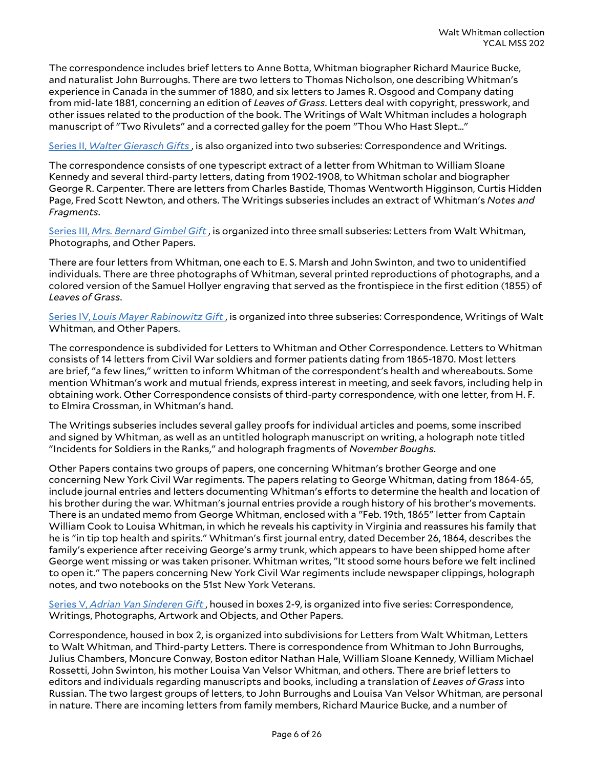The correspondence includes brief letters to Anne Botta, Whitman biographer Richard Maurice Bucke, and naturalist John Burroughs. There are two letters to Thomas Nicholson, one describing Whitman's experience in Canada in the summer of 1880, and six letters to James R. Osgood and Company dating from mid-late 1881, concerning an edition of *Leaves of Grass*. Letters deal with copyright, presswork, and other issues related to the production of the book. The Writings of Walt Whitman includes a holograph manuscript of "Two Rivulets" and a corrected galley for the poem "Thou Who Hast Slept..."

Series II, *Walter [Gierasch](#page-8-0) Gifts* , is also organized into two subseries: Correspondence and Writings.

The correspondence consists of one typescript extract of a letter from Whitman to William Sloane Kennedy and several third-party letters, dating from 1902-1908, to Whitman scholar and biographer George R. Carpenter. There are letters from Charles Bastide, Thomas Wentworth Higginson, Curtis Hidden Page, Fred Scott Newton, and others. The Writings subseries includes an extract of Whitman's *Notes and Fragments*.

[Series III,](#page-9-0) *Mrs. Bernard Gimbel Gift* , is organized into three small subseries: Letters from Walt Whitman, Photographs, and Other Papers.

There are four letters from Whitman, one each to E. S. Marsh and John Swinton, and two to unidentified individuals. There are three photographs of Whitman, several printed reproductions of photographs, and a colored version of the Samuel Hollyer engraving that served as the frontispiece in the first edition (1855) of *Leaves of Grass*.

Series IV, *Louis Mayer [Rabinowitz](#page-10-0) Gift* , is organized into three subseries: Correspondence, Writings of Walt Whitman, and Other Papers.

The correspondence is subdivided for Letters to Whitman and Other Correspondence. Letters to Whitman consists of 14 letters from Civil War soldiers and former patients dating from 1865-1870. Most letters are brief, "a few lines," written to inform Whitman of the correspondent's health and whereabouts. Some mention Whitman's work and mutual friends, express interest in meeting, and seek favors, including help in obtaining work. Other Correspondence consists of third-party correspondence, with one letter, from H. F. to Elmira Crossman, in Whitman's hand.

The Writings subseries includes several galley proofs for individual articles and poems, some inscribed and signed by Whitman, as well as an untitled holograph manuscript on writing, a holograph note titled "Incidents for Soldiers in the Ranks," and holograph fragments of *November Boughs*.

Other Papers contains two groups of papers, one concerning Whitman's brother George and one concerning New York Civil War regiments. The papers relating to George Whitman, dating from 1864-65, include journal entries and letters documenting Whitman's efforts to determine the health and location of his brother during the war. Whitman's journal entries provide a rough history of his brother's movements. There is an undated memo from George Whitman, enclosed with a "Feb. 19th, 1865" letter from Captain William Cook to Louisa Whitman, in which he reveals his captivity in Virginia and reassures his family that he is "in tip top health and spirits." Whitman's first journal entry, dated December 26, 1864, describes the family's experience after receiving George's army trunk, which appears to have been shipped home after George went missing or was taken prisoner. Whitman writes, "It stood some hours before we felt inclined to open it." The papers concerning New York Civil War regiments include newspaper clippings, holograph notes, and two notebooks on the 51st New York Veterans.

Series V, *Adrian Van [Sinderen](#page-12-0) Gift* , housed in boxes 2-9, is organized into five series: Correspondence, Writings, Photographs, Artwork and Objects, and Other Papers.

Correspondence, housed in box 2, is organized into subdivisions for Letters from Walt Whitman, Letters to Walt Whitman, and Third-party Letters. There is correspondence from Whitman to John Burroughs, Julius Chambers, Moncure Conway, Boston editor Nathan Hale, William Sloane Kennedy, William Michael Rossetti, John Swinton, his mother Louisa Van Velsor Whitman, and others. There are brief letters to editors and individuals regarding manuscripts and books, including a translation of *Leaves of Grass* into Russian. The two largest groups of letters, to John Burroughs and Louisa Van Velsor Whitman, are personal in nature. There are incoming letters from family members, Richard Maurice Bucke, and a number of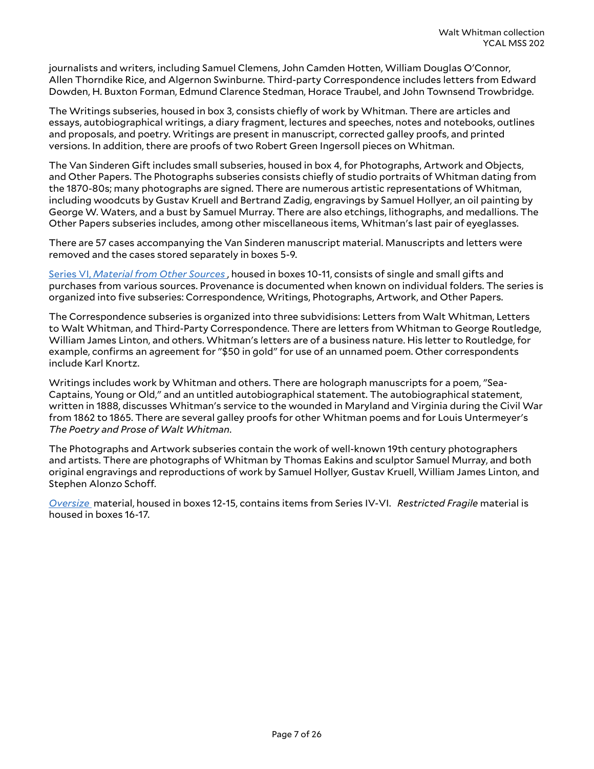journalists and writers, including Samuel Clemens, John Camden Hotten, William Douglas O'Connor, Allen Thorndike Rice, and Algernon Swinburne. Third-party Correspondence includes letters from Edward Dowden, H. Buxton Forman, Edmund Clarence Stedman, Horace Traubel, and John Townsend Trowbridge.

The Writings subseries, housed in box 3, consists chiefly of work by Whitman. There are articles and essays, autobiographical writings, a diary fragment, lectures and speeches, notes and notebooks, outlines and proposals, and poetry. Writings are present in manuscript, corrected galley proofs, and printed versions. In addition, there are proofs of two Robert Green Ingersoll pieces on Whitman.

The Van Sinderen Gift includes small subseries, housed in box 4, for Photographs, Artwork and Objects, and Other Papers. The Photographs subseries consists chiefly of studio portraits of Whitman dating from the 1870-80s; many photographs are signed. There are numerous artistic representations of Whitman, including woodcuts by Gustav Kruell and Bertrand Zadig, engravings by Samuel Hollyer, an oil painting by George W. Waters, and a bust by Samuel Murray. There are also etchings, lithographs, and medallions. The Other Papers subseries includes, among other miscellaneous items, Whitman's last pair of eyeglasses.

There are 57 cases accompanying the Van Sinderen manuscript material. Manuscripts and letters were removed and the cases stored separately in boxes 5-9.

[Series VI,](#page-21-0) *Material from Other Sources* , housed in boxes 10-11, consists of single and small gifts and purchases from various sources. Provenance is documented when known on individual folders. The series is organized into five subseries: Correspondence, Writings, Photographs, Artwork, and Other Papers.

The Correspondence subseries is organized into three subvidisions: Letters from Walt Whitman, Letters to Walt Whitman, and Third-Party Correspondence. There are letters from Whitman to George Routledge, William James Linton, and others. Whitman's letters are of a business nature. His letter to Routledge, for example, confirms an agreement for "\$50 in gold" for use of an unnamed poem. Other correspondents include Karl Knortz.

Writings includes work by Whitman and others. There are holograph manuscripts for a poem, "Sea-Captains, Young or Old," and an untitled autobiographical statement. The autobiographical statement, written in 1888, discusses Whitman's service to the wounded in Maryland and Virginia during the Civil War from 1862 to 1865. There are several galley proofs for other Whitman poems and for Louis Untermeyer's *The Poetry and Prose of Walt Whitman*.

The Photographs and Artwork subseries contain the work of well-known 19th century photographers and artists. There are photographs of Whitman by Thomas Eakins and sculptor Samuel Murray, and both original engravings and reproductions of work by Samuel Hollyer, Gustav Kruell, William James Linton, and Stephen Alonzo Schoff.

*[Oversize](#page-23-0)* material, housed in boxes 12-15, contains items from Series IV-VI. *Restricted Fragile* material is housed in boxes 16-17.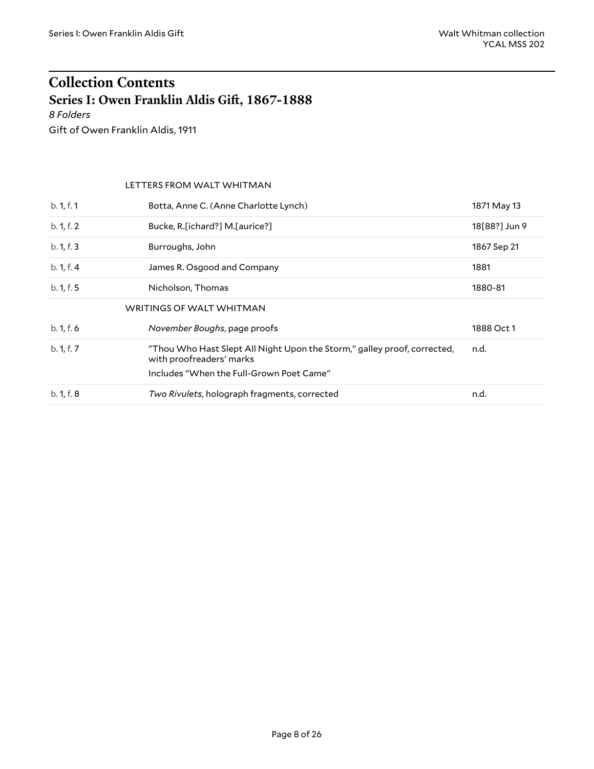# <span id="page-7-0"></span>**Collection Contents Series I: Owen Franklin Aldis Gi), 1867-1888**

<span id="page-7-1"></span>*8 Folders*

Gift of Owen Franklin Aldis, 1911

#### <span id="page-7-3"></span><span id="page-7-2"></span>LETTERS FROM WALT WHITMAN

| b. 1, f. 1 | Botta, Anne C. (Anne Charlotte Lynch)                                                                | 1871 May 13   |
|------------|------------------------------------------------------------------------------------------------------|---------------|
| b. 1, f. 2 | Bucke, R. [ichard?] M. [aurice?]                                                                     | 18[88?] Jun 9 |
| b. 1, f. 3 | Burroughs, John                                                                                      | 1867 Sep 21   |
| b. 1, f. 4 | James R. Osgood and Company                                                                          | 1881          |
| b. 1, f. 5 | Nicholson, Thomas                                                                                    | 1880-81       |
|            | WRITINGS OF WALT WHITMAN                                                                             |               |
| b. 1, f. 6 | November Boughs, page proofs                                                                         | 1888 Oct 1    |
| b. 1, f. 7 | "Thou Who Hast Slept All Night Upon the Storm," galley proof, corrected,<br>with proofreaders' marks | n.d.          |
|            | Includes "When the Full-Grown Poet Came"                                                             |               |
| b. 1, f. 8 | Two Rivulets, holograph fragments, corrected                                                         | n.d.          |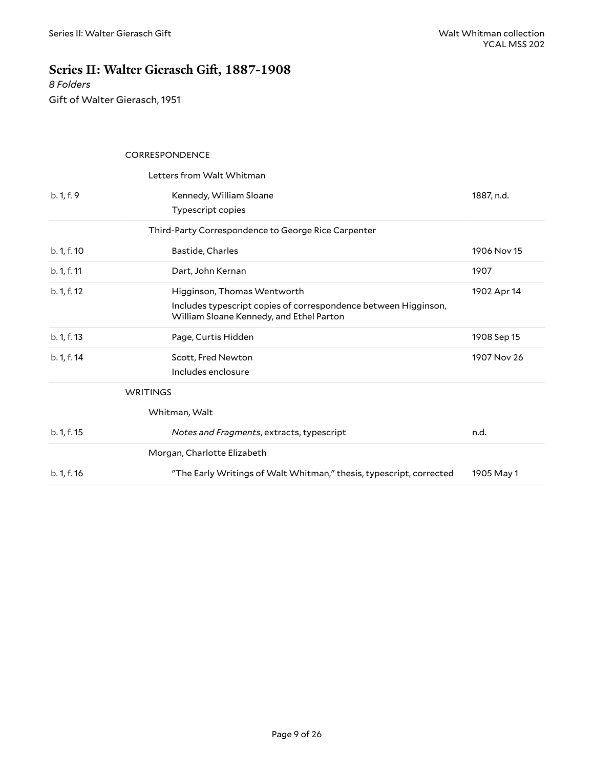# <span id="page-8-0"></span>**Series** II: Walter Gierasch Gift, 1887-1908

*8 Folders* Gift of Walter Gierasch, 1951

<span id="page-8-6"></span><span id="page-8-5"></span><span id="page-8-4"></span><span id="page-8-3"></span><span id="page-8-2"></span><span id="page-8-1"></span>

|             | <b>CORRESPONDENCE</b>                                                                                       |             |
|-------------|-------------------------------------------------------------------------------------------------------------|-------------|
|             | Letters from Walt Whitman                                                                                   |             |
| b. 1, f. 9  | Kennedy, William Sloane                                                                                     | 1887, n.d.  |
|             | Typescript copies                                                                                           |             |
|             | Third-Party Correspondence to George Rice Carpenter                                                         |             |
| b. 1, f. 10 | Bastide, Charles                                                                                            | 1906 Nov 15 |
| b. 1, f. 11 | Dart, John Kernan                                                                                           | 1907        |
| b. 1, f. 12 | Higginson, Thomas Wentworth                                                                                 | 1902 Apr 14 |
|             | Includes typescript copies of correspondence between Higginson,<br>William Sloane Kennedy, and Ethel Parton |             |
| b. 1, f. 13 | Page, Curtis Hidden                                                                                         | 1908 Sep 15 |
| b. 1, f. 14 | Scott, Fred Newton                                                                                          | 1907 Nov 26 |
|             | Includes enclosure                                                                                          |             |
|             | <b>WRITINGS</b>                                                                                             |             |
|             | Whitman, Walt                                                                                               |             |
| b. 1, f. 15 | Notes and Fragments, extracts, typescript                                                                   | n.d.        |
|             | Morgan, Charlotte Elizabeth                                                                                 |             |
| b. 1, f. 16 | "The Early Writings of Walt Whitman," thesis, typescript, corrected                                         | 1905 May 1  |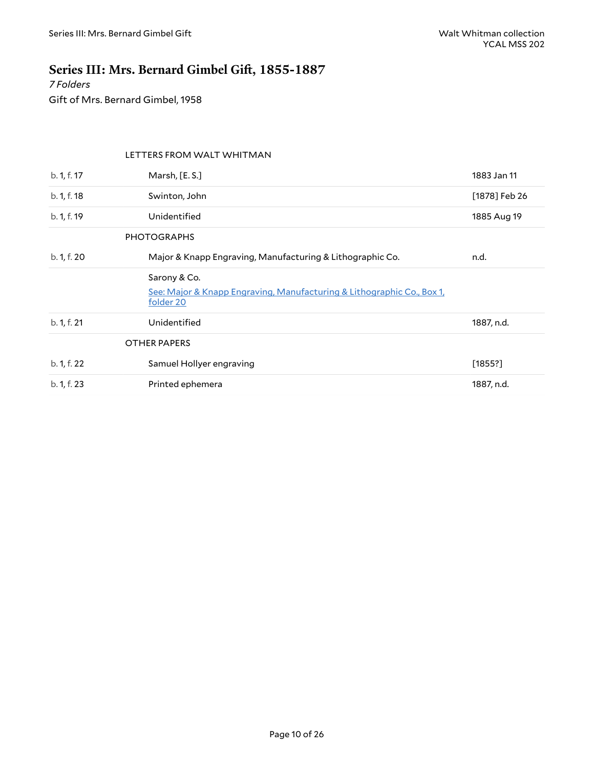# <span id="page-9-0"></span>**Series III: Mrs. Bernard Gimbel Gi), 1855-1887**

*7 Folders* Gift of Mrs. Bernard Gimbel, 1958

#### <span id="page-9-4"></span><span id="page-9-3"></span><span id="page-9-2"></span><span id="page-9-1"></span>LETTERS FROM WALT WHITMAN

| b. 1, f. 17 | Marsh, [E. S.]                                                                                      | 1883 Jan 11   |
|-------------|-----------------------------------------------------------------------------------------------------|---------------|
| b. 1, f. 18 | Swinton, John                                                                                       | [1878] Feb 26 |
| b. 1, f. 19 | Unidentified                                                                                        | 1885 Aug 19   |
|             | <b>PHOTOGRAPHS</b>                                                                                  |               |
| b. 1, f. 20 | Major & Knapp Engraving, Manufacturing & Lithographic Co.                                           | n.d.          |
|             | Sarony & Co.<br>See: Major & Knapp Engraving, Manufacturing & Lithographic Co., Box 1,<br>folder 20 |               |
| b. 1, f. 21 | Unidentified                                                                                        | 1887, n.d.    |
|             | <b>OTHER PAPERS</b>                                                                                 |               |
| b. 1, f. 22 | Samuel Hollyer engraving                                                                            | [1855!]       |
| b. 1, f. 23 | Printed ephemera                                                                                    | 1887, n.d.    |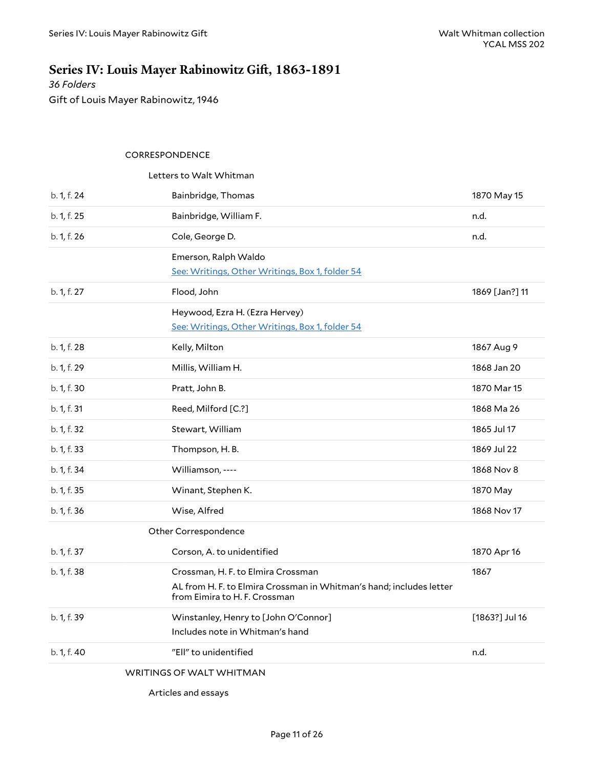# <span id="page-10-0"></span>**Series IV: Louis Mayer Rabinowitz Gift, 1863-1891**

*36 Folders* Gift of Louis Mayer Rabinowitz, 1946

#### <span id="page-10-2"></span><span id="page-10-1"></span>CORRESPONDENCE

|             | Letters to Walt Whitman                                                                              |                |
|-------------|------------------------------------------------------------------------------------------------------|----------------|
| b. 1, f. 24 | Bainbridge, Thomas                                                                                   | 1870 May 15    |
| b. 1, f. 25 | Bainbridge, William F.                                                                               | n.d.           |
| b. 1, f. 26 | Cole, George D.                                                                                      | n.d.           |
|             | Emerson, Ralph Waldo                                                                                 |                |
|             | See: Writings, Other Writings, Box 1, folder 54                                                      |                |
| b. 1, f. 27 | Flood, John                                                                                          | 1869 [Jan?] 11 |
|             | Heywood, Ezra H. (Ezra Hervey)                                                                       |                |
|             | See: Writings, Other Writings, Box 1, folder 54                                                      |                |
| b. 1, f. 28 | Kelly, Milton                                                                                        | 1867 Aug 9     |
| b. 1, f. 29 | Millis, William H.                                                                                   | 1868 Jan 20    |
| b. 1, f. 30 | Pratt, John B.                                                                                       | 1870 Mar 15    |
| b. 1, f. 31 | Reed, Milford [C.?]                                                                                  | 1868 Ma 26     |
| b. 1, f. 32 | Stewart, William                                                                                     | 1865 Jul 17    |
| b. 1, f. 33 | Thompson, H.B.                                                                                       | 1869 Jul 22    |
| b. 1, f. 34 | Williamson, ----                                                                                     | 1868 Nov 8     |
| b. 1, f. 35 | Winant, Stephen K.                                                                                   | 1870 May       |
| b. 1, f. 36 | Wise, Alfred                                                                                         | 1868 Nov 17    |
|             | Other Correspondence                                                                                 |                |
| b. 1, f. 37 | Corson, A. to unidentified                                                                           | 1870 Apr 16    |
| b. 1, f. 38 | Crossman, H. F. to Elmira Crossman                                                                   | 1867           |
|             | AL from H. F. to Elmira Crossman in Whitman's hand; includes letter<br>from Eimira to H. F. Crossman |                |
| b. 1, f. 39 | Winstanley, Henry to [John O'Connor]                                                                 | [1863?] Jul 16 |
|             | Includes note in Whitman's hand                                                                      |                |
| b. 1, f. 40 | "Ell" to unidentified                                                                                | n.d.           |
|             |                                                                                                      |                |

<span id="page-10-5"></span><span id="page-10-4"></span><span id="page-10-3"></span>WRITINGS OF WALT WHITMAN

Articles and essays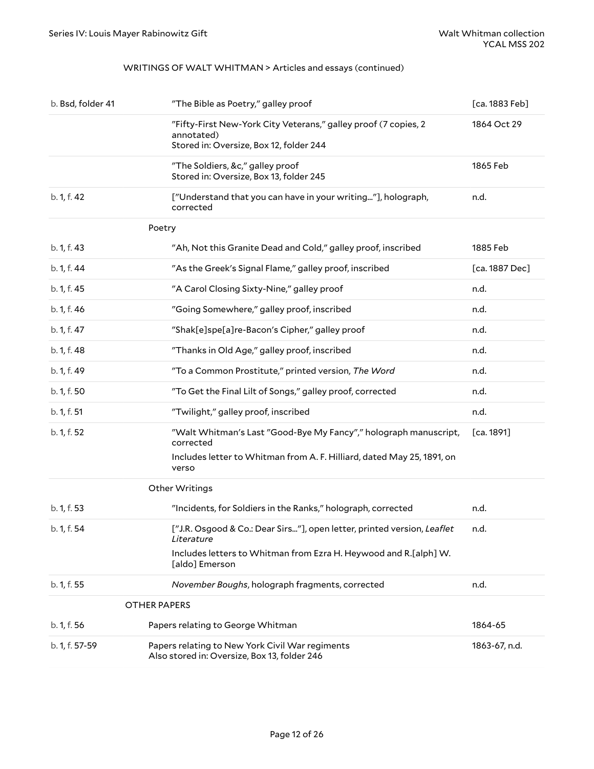#### WRITINGS OF WALT WHITMAN > Articles and essays (continued)

<span id="page-11-3"></span><span id="page-11-2"></span><span id="page-11-1"></span><span id="page-11-0"></span>

| b. Bsd, folder 41 | "The Bible as Poetry," galley proof                                                                                      | [ca. 1883 Feb] |
|-------------------|--------------------------------------------------------------------------------------------------------------------------|----------------|
|                   | "Fifty-First New-York City Veterans," galley proof (7 copies, 2<br>annotated)<br>Stored in: Oversize, Box 12, folder 244 | 1864 Oct 29    |
|                   | "The Soldiers, &c," galley proof<br>Stored in: Oversize, Box 13, folder 245                                              | 1865 Feb       |
| b. 1, f. 42       | ["Understand that you can have in your writing"], holograph,<br>corrected                                                | n.d.           |
|                   | Poetry                                                                                                                   |                |
| b. 1, f. 43       | "Ah, Not this Granite Dead and Cold," galley proof, inscribed                                                            | 1885 Feb       |
| b. 1, f. 44       | "As the Greek's Signal Flame," galley proof, inscribed                                                                   | [ca. 1887 Dec] |
| b. 1, f. 45       | "A Carol Closing Sixty-Nine," galley proof                                                                               | n.d.           |
| b. 1, f. 46       | "Going Somewhere," galley proof, inscribed                                                                               | n.d.           |
| b. 1, f. 47       | "Shak[e]spe[a]re-Bacon's Cipher," galley proof                                                                           | n.d.           |
| b. 1, f. 48       | "Thanks in Old Age," galley proof, inscribed                                                                             | n.d.           |
| b. 1, f. 49       | "To a Common Prostitute," printed version, The Word                                                                      | n.d.           |
| b. 1, f. 50       | "To Get the Final Lilt of Songs," galley proof, corrected                                                                | n.d.           |
| b. 1, f. 51       | "Twilight," galley proof, inscribed                                                                                      | n.d.           |
| b. 1, f. 52       | "Walt Whitman's Last "Good-Bye My Fancy"," holograph manuscript,<br>corrected                                            | [ca. 1891]     |
|                   | Includes letter to Whitman from A. F. Hilliard, dated May 25, 1891, on<br>verso                                          |                |
|                   | Other Writings                                                                                                           |                |
| b. 1, f. 53       | "Incidents, for Soldiers in the Ranks," holograph, corrected                                                             | n.d.           |
| b. 1, f. 54       | ["J.R. Osgood & Co.: Dear Sirs"], open letter, printed version, Leaflet<br>Literature                                    | n.d.           |
|                   | Includes letters to Whitman from Ezra H. Heywood and R.[alph] W.<br>[aldo] Emerson                                       |                |
| b. 1, f. 55       | November Boughs, holograph fragments, corrected                                                                          | n.d.           |
|                   | <b>OTHER PAPERS</b>                                                                                                      |                |
| b. 1, f. 56       | Papers relating to George Whitman                                                                                        | 1864-65        |
| b. 1, f. 57-59    | Papers relating to New York Civil War regiments<br>Also stored in: Oversize, Box 13, folder 246                          | 1863-67, n.d.  |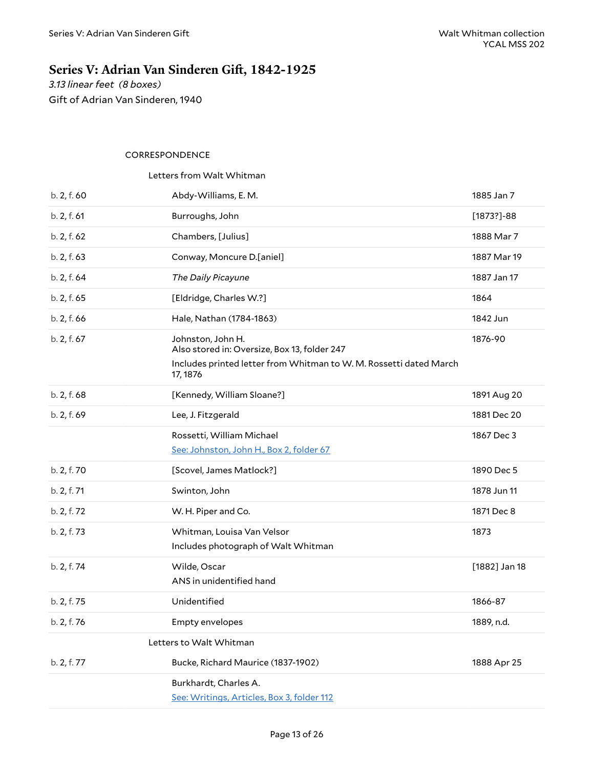# <span id="page-12-0"></span>**Series** V: Adrian Van Sinderen Gift, 1842-1925

*3.13 linear feet (8 boxes)* Gift of Adrian Van Sinderen, 1940

#### <span id="page-12-1"></span>CORRESPONDENCE

#### <span id="page-12-2"></span>Letters from Walt Whitman

<span id="page-12-4"></span><span id="page-12-3"></span>

| b. 2, f. 60 | Abdy-Williams, E. M.                                                                                                                                | 1885 Jan 7     |
|-------------|-----------------------------------------------------------------------------------------------------------------------------------------------------|----------------|
| b. 2, f. 61 | Burroughs, John                                                                                                                                     | $[1873?] - 88$ |
| b. 2, f. 62 | Chambers, [Julius]                                                                                                                                  | 1888 Mar 7     |
| b. 2, f. 63 | Conway, Moncure D.[aniel]                                                                                                                           | 1887 Mar 19    |
| b. 2, f. 64 | The Daily Picayune                                                                                                                                  | 1887 Jan 17    |
| b. 2, f. 65 | [Eldridge, Charles W.?]                                                                                                                             | 1864           |
| b. 2, f. 66 | Hale, Nathan (1784-1863)                                                                                                                            | 1842 Jun       |
| b. 2, f. 67 | Johnston, John H.<br>Also stored in: Oversize, Box 13, folder 247<br>Includes printed letter from Whitman to W. M. Rossetti dated March<br>17, 1876 | 1876-90        |
| b. 2, f. 68 | [Kennedy, William Sloane?]                                                                                                                          | 1891 Aug 20    |
| b. 2, f. 69 | Lee, J. Fitzgerald                                                                                                                                  | 1881 Dec 20    |
|             | Rossetti, William Michael<br>See: Johnston, John H., Box 2, folder 67                                                                               | 1867 Dec 3     |
| b. 2, f. 70 | [Scovel, James Matlock?]                                                                                                                            | 1890 Dec 5     |
| b. 2, f. 71 | Swinton, John                                                                                                                                       | 1878 Jun 11    |
| b. 2, f. 72 | W. H. Piper and Co.                                                                                                                                 | 1871 Dec 8     |
| b. 2, f. 73 | Whitman, Louisa Van Velsor<br>Includes photograph of Walt Whitman                                                                                   | 1873           |
| b. 2, f. 74 | Wilde, Oscar<br>ANS in unidentified hand                                                                                                            | [1882] Jan 18  |
| b. 2, f. 75 | Unidentified                                                                                                                                        | 1866-87        |
| b. 2, f. 76 | <b>Empty envelopes</b>                                                                                                                              | 1889, n.d.     |
|             | Letters to Walt Whitman                                                                                                                             |                |
| b. 2, f. 77 | Bucke, Richard Maurice (1837-1902)                                                                                                                  | 1888 Apr 25    |
|             | Burkhardt, Charles A.<br>See: Writings, Articles, Box 3, folder 112                                                                                 |                |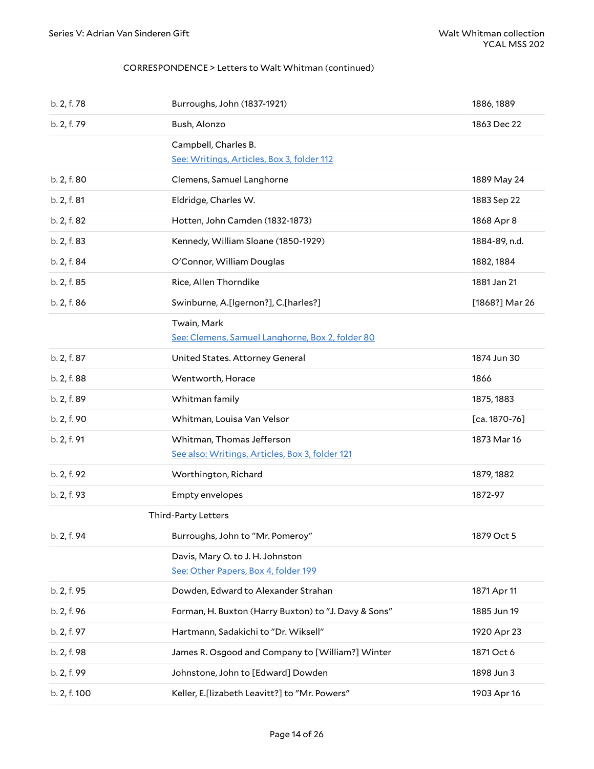#### CORRESPONDENCE > Letters to Walt Whitman (continued)

<span id="page-13-1"></span><span id="page-13-0"></span>

| b. 2, f. 78  | Burroughs, John (1837-1921)                                                  | 1886, 1889      |
|--------------|------------------------------------------------------------------------------|-----------------|
| b. 2, f. 79  | Bush, Alonzo                                                                 | 1863 Dec 22     |
|              | Campbell, Charles B.<br>See: Writings, Articles, Box 3, folder 112           |                 |
| b. 2, f. 80  | Clemens, Samuel Langhorne                                                    | 1889 May 24     |
| b. 2, f. 81  | Eldridge, Charles W.                                                         | 1883 Sep 22     |
| b. 2, f. 82  | Hotten, John Camden (1832-1873)                                              | 1868 Apr 8      |
| b. 2, f. 83  | Kennedy, William Sloane (1850-1929)                                          | 1884-89, n.d.   |
| b. 2, f. 84  | O'Connor, William Douglas                                                    | 1882, 1884      |
| b. 2, f. 85  | Rice, Allen Thorndike                                                        | 1881 Jan 21     |
| b. 2, f. 86  | Swinburne, A.[Igernon?], C.[harles?]                                         | [1868?] Mar 26  |
|              | Twain, Mark<br>See: Clemens, Samuel Langhorne, Box 2, folder 80              |                 |
| b. 2, f. 87  | United States. Attorney General                                              | 1874 Jun 30     |
| b. 2, f. 88  | Wentworth, Horace                                                            | 1866            |
| b. 2, f. 89  | Whitman family                                                               | 1875, 1883      |
| b. 2, f. 90  | Whitman, Louisa Van Velsor                                                   | $[ca. 1870-76]$ |
| b. 2, f. 91  | Whitman, Thomas Jefferson<br>See also: Writings, Articles, Box 3, folder 121 | 1873 Mar 16     |
| b. 2, f. 92  | Worthington, Richard                                                         | 1879, 1882      |
| b. 2, f. 93  | Empty envelopes                                                              | 1872-97         |
|              | <b>Third-Party Letters</b>                                                   |                 |
| b. 2, f. 94  | Burroughs, John to "Mr. Pomeroy"                                             | 1879 Oct 5      |
|              | Davis, Mary O. to J. H. Johnston<br>See: Other Papers, Box 4, folder 199     |                 |
| b. 2, f. 95  | Dowden, Edward to Alexander Strahan                                          | 1871 Apr 11     |
| b. 2, f. 96  | Forman, H. Buxton (Harry Buxton) to "J. Davy & Sons"                         | 1885 Jun 19     |
| b. 2, f. 97  | Hartmann, Sadakichi to "Dr. Wiksell"                                         | 1920 Apr 23     |
| b. 2, f. 98  | James R. Osgood and Company to [William?] Winter                             | 1871 Oct 6      |
| b. 2, f. 99  | Johnstone, John to [Edward] Dowden                                           | 1898 Jun 3      |
| b. 2, f. 100 | Keller, E.[lizabeth Leavitt?] to "Mr. Powers"                                | 1903 Apr 16     |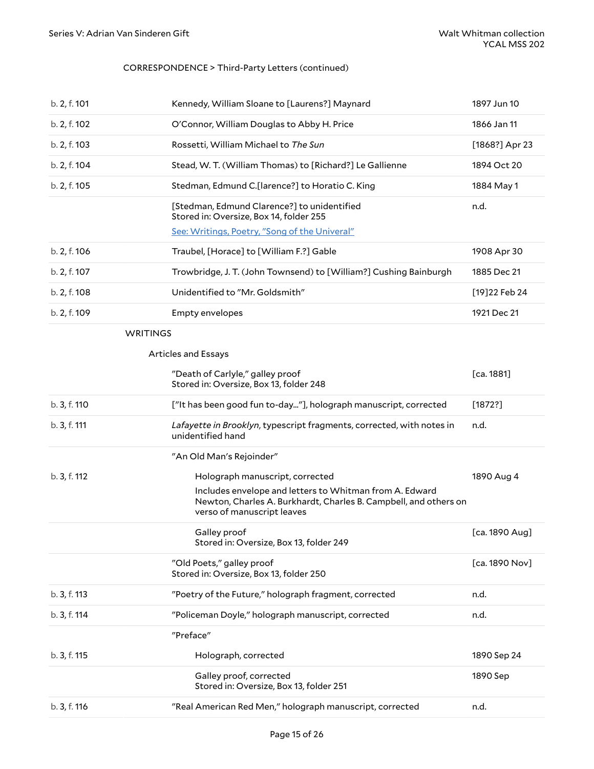#### CORRESPONDENCE > Third-Party Letters (continued)

<span id="page-14-2"></span><span id="page-14-1"></span><span id="page-14-0"></span>

| b. 2, f. 101    | Kennedy, William Sloane to [Laurens?] Maynard                                                                                                             | 1897 Jun 10    |
|-----------------|-----------------------------------------------------------------------------------------------------------------------------------------------------------|----------------|
| b. 2, f. 102    | O'Connor, William Douglas to Abby H. Price                                                                                                                | 1866 Jan 11    |
| b. 2, f. 103    | Rossetti, William Michael to The Sun                                                                                                                      | [1868?] Apr 23 |
| b. 2, f. 104    | Stead, W. T. (William Thomas) to [Richard?] Le Gallienne                                                                                                  | 1894 Oct 20    |
| b. 2, f. 105    | Stedman, Edmund C.[larence?] to Horatio C. King                                                                                                           | 1884 May 1     |
|                 | [Stedman, Edmund Clarence?] to unidentified<br>Stored in: Oversize, Box 14, folder 255<br>See: Writings, Poetry, "Song of the Univeral"                   | n.d.           |
| b. 2, f. 106    | Traubel, [Horace] to [William F.?] Gable                                                                                                                  | 1908 Apr 30    |
| b. 2, f. 107    | Trowbridge, J. T. (John Townsend) to [William?] Cushing Bainburgh                                                                                         | 1885 Dec 21    |
| b. 2, f. 108    | Unidentified to "Mr. Goldsmith"                                                                                                                           | [19] 22 Feb 24 |
| b. 2, f. 109    | <b>Empty envelopes</b>                                                                                                                                    | 1921 Dec 21    |
| <b>WRITINGS</b> |                                                                                                                                                           |                |
|                 | <b>Articles and Essays</b>                                                                                                                                |                |
|                 | "Death of Carlyle," galley proof<br>Stored in: Oversize, Box 13, folder 248                                                                               | [ca. 1881]     |
| b. 3, f. 110    | ["It has been good fun to-day"], holograph manuscript, corrected                                                                                          | [1872?]        |
|                 |                                                                                                                                                           |                |
| b. 3, f. 111    | Lafayette in Brooklyn, typescript fragments, corrected, with notes in<br>unidentified hand                                                                | n.d.           |
|                 | "An Old Man's Rejoinder"                                                                                                                                  |                |
| b. 3, f. 112    | Holograph manuscript, corrected                                                                                                                           | 1890 Aug 4     |
|                 | Includes envelope and letters to Whitman from A. Edward<br>Newton, Charles A. Burkhardt, Charles B. Campbell, and others on<br>verso of manuscript leaves |                |
|                 | Galley proof<br>Stored in: Oversize, Box 13, folder 249                                                                                                   | [ca. 1890 Aug] |
|                 | "Old Poets," galley proof<br>Stored in: Oversize, Box 13, folder 250                                                                                      | [ca. 1890 Nov] |
| b. 3, f. 113    | "Poetry of the Future," holograph fragment, corrected                                                                                                     | n.d.           |
| b. 3, f. 114    | "Policeman Doyle," holograph manuscript, corrected                                                                                                        | n.d.           |
|                 | "Preface"                                                                                                                                                 |                |
| b. 3, f. 115    | Holograph, corrected                                                                                                                                      | 1890 Sep 24    |
|                 | Galley proof, corrected<br>Stored in: Oversize, Box 13, folder 251                                                                                        | 1890 Sep       |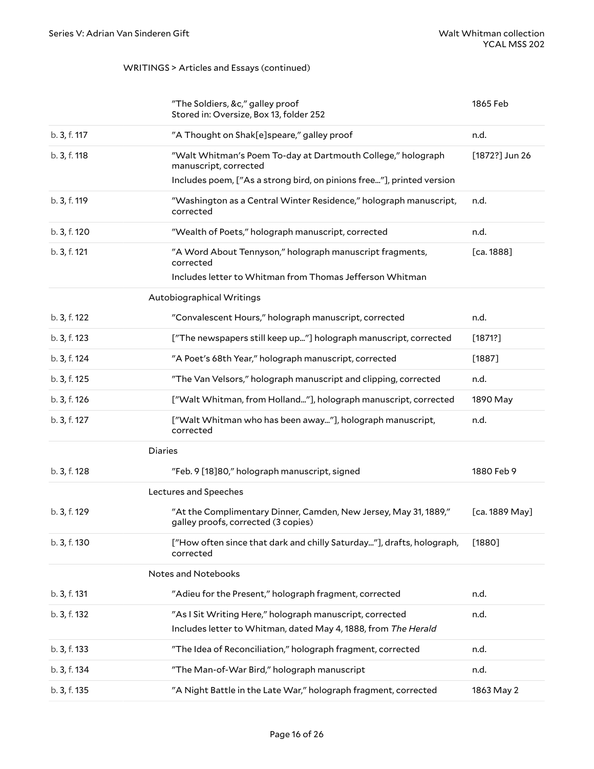#### WRITINGS > Articles and Essays (continued)

<span id="page-15-4"></span><span id="page-15-3"></span><span id="page-15-2"></span><span id="page-15-1"></span><span id="page-15-0"></span>

|              | "The Soldiers, &c," galley proof<br>Stored in: Oversize, Box 13, folder 252                                                       | 1865 Feb       |
|--------------|-----------------------------------------------------------------------------------------------------------------------------------|----------------|
| b. 3, f. 117 | "A Thought on Shak[e]speare," galley proof                                                                                        | n.d.           |
| b. 3, f. 118 | "Walt Whitman's Poem To-day at Dartmouth College," holograph<br>manuscript, corrected                                             | [1872?] Jun 26 |
|              | Includes poem, ["As a strong bird, on pinions free"], printed version                                                             |                |
| b. 3, f. 119 | "Washington as a Central Winter Residence," holograph manuscript,<br>corrected                                                    | n.d.           |
| b. 3, f. 120 | "Wealth of Poets," holograph manuscript, corrected                                                                                | n.d.           |
| b. 3, f. 121 | "A Word About Tennyson," holograph manuscript fragments,<br>corrected<br>Includes letter to Whitman from Thomas Jefferson Whitman | [ca. 1888]     |
|              | Autobiographical Writings                                                                                                         |                |
| b. 3, f. 122 | "Convalescent Hours," holograph manuscript, corrected                                                                             | n.d.           |
| b. 3, f. 123 | ["The newspapers still keep up"] holograph manuscript, corrected                                                                  | [1871?]        |
| b. 3, f. 124 | "A Poet's 68th Year," holograph manuscript, corrected                                                                             | $[1887]$       |
| b. 3, f. 125 | "The Van Velsors," holograph manuscript and clipping, corrected                                                                   | n.d.           |
| b. 3, f. 126 | ["Walt Whitman, from Holland"], holograph manuscript, corrected                                                                   | 1890 May       |
| b. 3, f. 127 | ["Walt Whitman who has been away"], holograph manuscript,<br>corrected                                                            | n.d.           |
|              | <b>Diaries</b>                                                                                                                    |                |
| b. 3, f. 128 | "Feb. 9 [18] 80," holograph manuscript, signed                                                                                    | 1880 Feb 9     |
|              | Lectures and Speeches                                                                                                             |                |
| b. 3, f. 129 | "At the Complimentary Dinner, Camden, New Jersey, May 31, 1889,"<br>galley proofs, corrected (3 copies)                           | [ca. 1889 May] |
| b. 3, f. 130 | ["How often since that dark and chilly Saturday"], drafts, holograph,<br>corrected                                                | $[1880]$       |
|              | Notes and Notebooks                                                                                                               |                |
| b. 3, f. 131 | "Adieu for the Present," holograph fragment, corrected                                                                            | n.d.           |
| b. 3, f. 132 | "As I Sit Writing Here," holograph manuscript, corrected<br>Includes letter to Whitman, dated May 4, 1888, from The Herald        | n.d.           |
| b. 3, f. 133 | "The Idea of Reconciliation," holograph fragment, corrected                                                                       | n.d.           |
| b. 3, f. 134 | "The Man-of-War Bird," holograph manuscript                                                                                       | n.d.           |
| b. 3, f. 135 | "A Night Battle in the Late War," holograph fragment, corrected                                                                   | 1863 May 2     |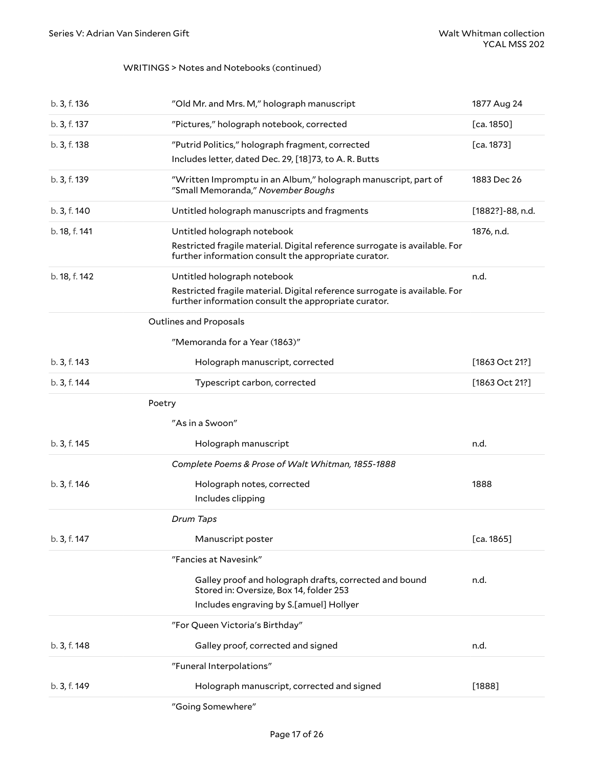#### WRITINGS > Notes and Notebooks (continued)

<span id="page-16-0"></span>

| b. 3, f. 136  | "Old Mr. and Mrs. M," holograph manuscript                                                                                                                        | 1877 Aug 24      |
|---------------|-------------------------------------------------------------------------------------------------------------------------------------------------------------------|------------------|
| b. 3, f. 137  | "Pictures," holograph notebook, corrected                                                                                                                         | [ca. 1850]       |
| b. 3, f. 138  | "Putrid Politics," holograph fragment, corrected<br>Includes letter, dated Dec. 29, [18]73, to A. R. Butts                                                        | [ca. 1873]       |
| b. 3, f. 139  | "Written Impromptu in an Album," holograph manuscript, part of<br>"Small Memoranda," November Boughs                                                              | 1883 Dec 26      |
| b. 3, f. 140  | Untitled holograph manuscripts and fragments                                                                                                                      | [1882?]-88, n.d. |
| b. 18, f. 141 | Untitled holograph notebook<br>Restricted fragile material. Digital reference surrogate is available. For<br>further information consult the appropriate curator. | 1876, n.d.       |
| b. 18, f. 142 | Untitled holograph notebook<br>Restricted fragile material. Digital reference surrogate is available. For<br>further information consult the appropriate curator. | n.d.             |
|               | <b>Outlines and Proposals</b>                                                                                                                                     |                  |
|               | "Memoranda for a Year (1863)"                                                                                                                                     |                  |
| b. 3, f. 143  | Holograph manuscript, corrected                                                                                                                                   | [1863 Oct 21?]   |
| b. 3, f. 144  | Typescript carbon, corrected                                                                                                                                      | [1863 Oct 21?]   |
| Poetry        |                                                                                                                                                                   |                  |
|               | "As in a Swoon"                                                                                                                                                   |                  |
| b. 3, f. 145  | Holograph manuscript                                                                                                                                              | n.d.             |
|               | Complete Poems & Prose of Walt Whitman, 1855-1888                                                                                                                 |                  |
| b. 3, f. 146  | Holograph notes, corrected                                                                                                                                        | 1888             |
|               | Includes clipping                                                                                                                                                 |                  |
|               | Drum Taps                                                                                                                                                         |                  |
| b. 3, f. 147  | Manuscript poster                                                                                                                                                 | [ca. 1865]       |
|               | "Fancies at Navesink"                                                                                                                                             |                  |
|               | Galley proof and holograph drafts, corrected and bound<br>Stored in: Oversize, Box 14, folder 253                                                                 | n.d.             |
|               | Includes engraving by S.[amuel] Hollyer                                                                                                                           |                  |
|               | "For Queen Victoria's Birthday"                                                                                                                                   |                  |
| b. 3, f. 148  | Galley proof, corrected and signed                                                                                                                                | n.d.             |
|               | "Funeral Interpolations"                                                                                                                                          |                  |
| b. 3, f. 149  | Holograph manuscript, corrected and signed                                                                                                                        | $[1888]$         |
|               | "Going Somewhere"                                                                                                                                                 |                  |

<span id="page-16-2"></span><span id="page-16-1"></span>"Going Somewhere"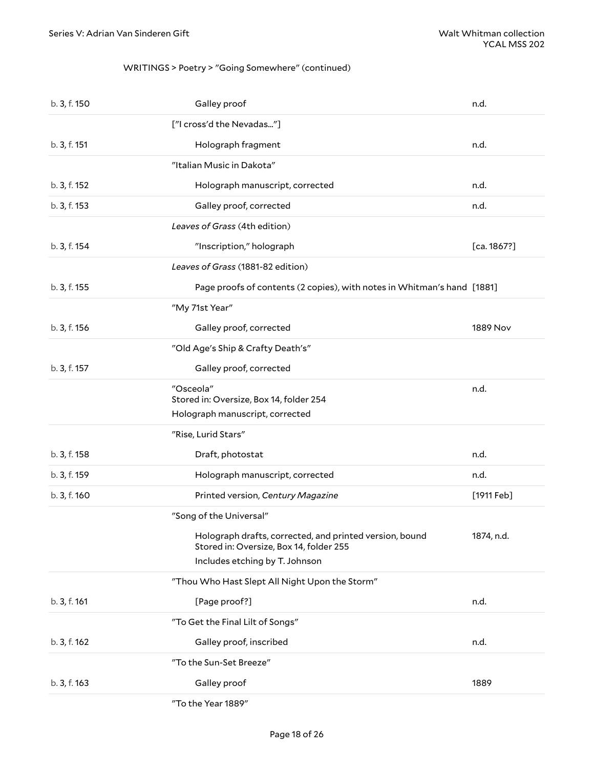#### WRITINGS > Poetry > "Going Somewhere" (continued)

<span id="page-17-0"></span>

| b. 3, f. 150 | Galley proof                                                                                                                         | n.d.                    |
|--------------|--------------------------------------------------------------------------------------------------------------------------------------|-------------------------|
|              | ["I cross'd the Nevadas"]                                                                                                            |                         |
| b. 3, f. 151 | Holograph fragment                                                                                                                   | n.d.                    |
|              | "Italian Music in Dakota"                                                                                                            |                         |
| b. 3, f. 152 | Holograph manuscript, corrected                                                                                                      | n.d.                    |
| b. 3, f. 153 | Galley proof, corrected                                                                                                              | n.d.                    |
|              | Leaves of Grass (4th edition)                                                                                                        |                         |
| b. 3, f. 154 | "Inscription," holograph                                                                                                             | [ca. 1867?]             |
|              | Leaves of Grass (1881-82 edition)                                                                                                    |                         |
| b. 3, f. 155 | Page proofs of contents (2 copies), with notes in Whitman's hand [1881]                                                              |                         |
|              | "My 71st Year"                                                                                                                       |                         |
| b. 3, f. 156 | Galley proof, corrected                                                                                                              | 1889 Nov                |
|              | "Old Age's Ship & Crafty Death's"                                                                                                    |                         |
| b. 3, f. 157 | Galley proof, corrected                                                                                                              |                         |
|              | "Osceola"<br>Stored in: Oversize, Box 14, folder 254                                                                                 | n.d.                    |
|              | Holograph manuscript, corrected                                                                                                      |                         |
|              | "Rise, Lurid Stars"                                                                                                                  |                         |
| b. 3, f. 158 | Draft, photostat                                                                                                                     | n.d.                    |
| b. 3, f. 159 | Holograph manuscript, corrected                                                                                                      | n.d.                    |
| b. 3, f. 160 | Printed version, Century Magazine                                                                                                    | $[1911 \,\mathsf{Feb}]$ |
|              | "Song of the Universal"                                                                                                              |                         |
|              | Holograph drafts, corrected, and printed version, bound<br>Stored in: Oversize, Box 14, folder 255<br>Includes etching by T. Johnson | 1874, n.d.              |
|              | "Thou Who Hast Slept All Night Upon the Storm"                                                                                       |                         |
| b. 3, f. 161 | [Page proof?]                                                                                                                        | n.d.                    |
|              | "To Get the Final Lilt of Songs"                                                                                                     |                         |
| b. 3, f. 162 | Galley proof, inscribed                                                                                                              | n.d.                    |
|              | "To the Sun-Set Breeze"                                                                                                              |                         |
| b. 3, f. 163 | Galley proof                                                                                                                         | 1889                    |
|              | "To the Year 1889"                                                                                                                   |                         |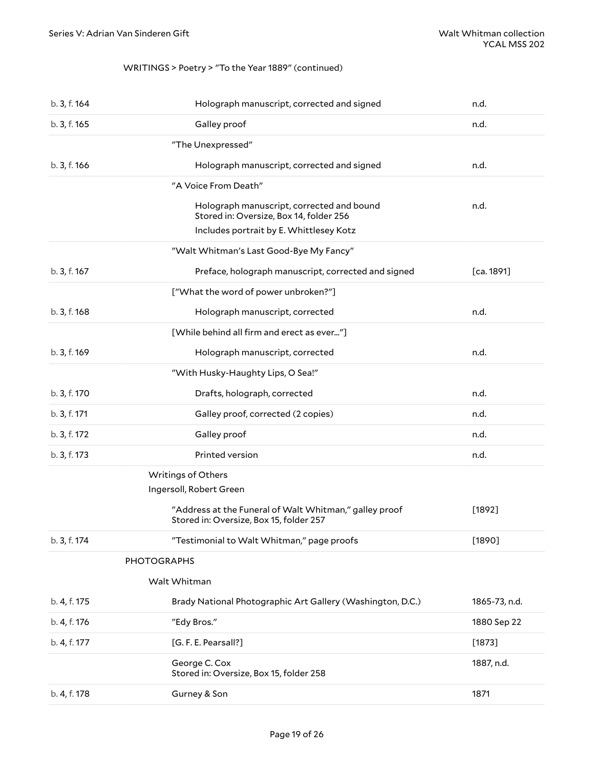#### <span id="page-18-3"></span>WRITINGS > Poetry > "To the Year 1889" (continued)

<span id="page-18-2"></span><span id="page-18-1"></span><span id="page-18-0"></span>

| b. 3, f. 164 | Holograph manuscript, corrected and signed                                                        | n.d.          |
|--------------|---------------------------------------------------------------------------------------------------|---------------|
| b. 3, f. 165 | Galley proof                                                                                      | n.d.          |
|              | "The Unexpressed"                                                                                 |               |
| b. 3, f. 166 | Holograph manuscript, corrected and signed                                                        | n.d.          |
|              | "A Voice From Death"                                                                              |               |
|              | Holograph manuscript, corrected and bound<br>Stored in: Oversize, Box 14, folder 256              | n.d.          |
|              | Includes portrait by E. Whittlesey Kotz                                                           |               |
|              | "Walt Whitman's Last Good-Bye My Fancy"                                                           |               |
| b. 3, f. 167 | Preface, holograph manuscript, corrected and signed                                               | [ca. 1891]    |
|              | ["What the word of power unbroken?"]                                                              |               |
| b. 3, f. 168 | Holograph manuscript, corrected                                                                   | n.d.          |
|              | [While behind all firm and erect as ever"]                                                        |               |
| b. 3, f. 169 | Holograph manuscript, corrected                                                                   | n.d.          |
|              | "With Husky-Haughty Lips, O Sea!"                                                                 |               |
| b. 3, f. 170 | Drafts, holograph, corrected                                                                      | n.d.          |
| b. 3, f. 171 | Galley proof, corrected (2 copies)                                                                | n.d.          |
| b. 3, f. 172 | Galley proof                                                                                      | n.d.          |
| b. 3, f. 173 | Printed version                                                                                   | n.d.          |
|              | Writings of Others                                                                                |               |
|              | Ingersoll, Robert Green                                                                           |               |
|              | "Address at the Funeral of Walt Whitman," galley proof<br>Stored in: Oversize, Box 15, folder 257 | $[1892]$      |
| b. 3, f. 174 | "Testimonial to Walt Whitman," page proofs                                                        | $[1890]$      |
|              | <b>PHOTOGRAPHS</b>                                                                                |               |
|              | Walt Whitman                                                                                      |               |
| b. 4, f. 175 | Brady National Photographic Art Gallery (Washington, D.C.)                                        | 1865-73, n.d. |
| b. 4, f. 176 | "Edy Bros."                                                                                       | 1880 Sep 22   |
| b. 4, f. 177 | [G. F. E. Pearsall?]                                                                              | [1873]        |
|              | George C. Cox<br>Stored in: Oversize, Box 15, folder 258                                          | 1887, n.d.    |
| b. 4, f. 178 | Gurney & Son                                                                                      | 1871          |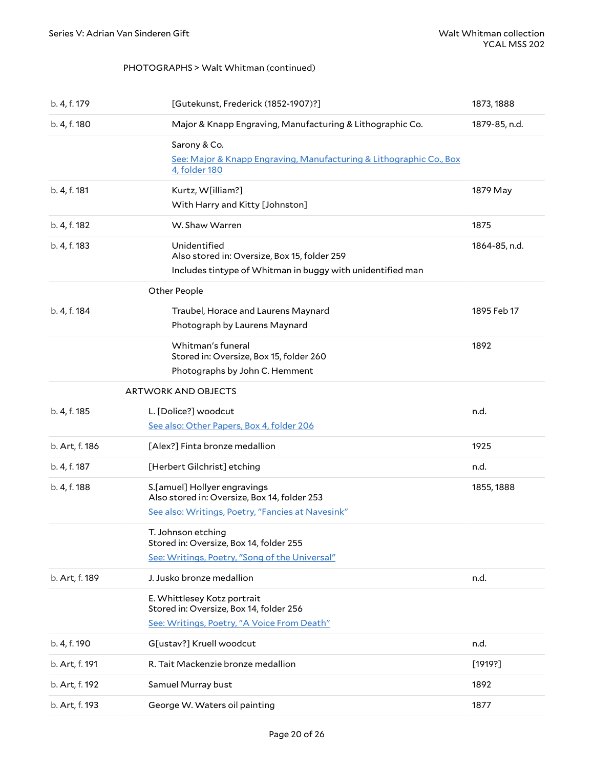#### <span id="page-19-2"></span>PHOTOGRAPHS > Walt Whitman (continued)

<span id="page-19-1"></span><span id="page-19-0"></span>

| b. 4, f. 179   | [Gutekunst, Frederick (1852-1907)?]                                                               | 1873, 1888    |
|----------------|---------------------------------------------------------------------------------------------------|---------------|
| b. 4, f. 180   | Major & Knapp Engraving, Manufacturing & Lithographic Co.                                         | 1879-85, n.d. |
|                | Sarony & Co.                                                                                      |               |
|                | See: Major & Knapp Engraving, Manufacturing & Lithographic Co., Box<br>4. folder 180              |               |
| b. 4, f. 181   | Kurtz, W[illiam?]                                                                                 | 1879 May      |
|                | With Harry and Kitty [Johnston]                                                                   |               |
| b. 4, f. 182   | W. Shaw Warren                                                                                    | 1875          |
| b. 4, f. 183   | Unidentified                                                                                      | 1864-85, n.d. |
|                | Also stored in: Oversize, Box 15, folder 259                                                      |               |
|                | Includes tintype of Whitman in buggy with unidentified man                                        |               |
|                | Other People                                                                                      |               |
| b. 4, f. 184   | Traubel, Horace and Laurens Maynard                                                               | 1895 Feb 17   |
|                | Photograph by Laurens Maynard                                                                     |               |
|                | Whitman's funeral                                                                                 | 1892          |
|                | Stored in: Oversize, Box 15, folder 260                                                           |               |
|                | Photographs by John C. Hemment                                                                    |               |
|                | <b>ARTWORK AND OBJECTS</b>                                                                        |               |
| b. 4, f. 185   | L. [Dolice?] woodcut                                                                              | n.d.          |
|                | See also: Other Papers, Box 4, folder 206                                                         |               |
| b. Art, f. 186 | [Alex?] Finta bronze medallion                                                                    | 1925          |
| b. 4, f. 187   | [Herbert Gilchrist] etching                                                                       | n.d.          |
| b. 4, f. 188   | S.[amuel] Hollyer engravings                                                                      | 1855, 1888    |
|                | Also stored in: Oversize, Box 14, folder 253<br>See also: Writings, Poetry, "Fancies at Navesink" |               |
|                |                                                                                                   |               |
|                | T. Johnson etching<br>Stored in: Oversize, Box 14, folder 255                                     |               |
|                | See: Writings, Poetry, "Song of the Universal"                                                    |               |
| b. Art, f. 189 | J. Jusko bronze medallion                                                                         | n.d.          |
|                | E. Whittlesey Kotz portrait<br>Stored in: Oversize, Box 14, folder 256                            |               |
|                | See: Writings, Poetry, "A Voice From Death"                                                       |               |
|                |                                                                                                   |               |
| b. 4, f. 190   | G[ustav?] Kruell woodcut                                                                          | n.d.          |
| b. Art, f. 191 | R. Tait Mackenzie bronze medallion                                                                | [1919?]       |
| b. Art, f. 192 | Samuel Murray bust                                                                                | 1892          |
| b. Art, f. 193 | George W. Waters oil painting                                                                     | 1877          |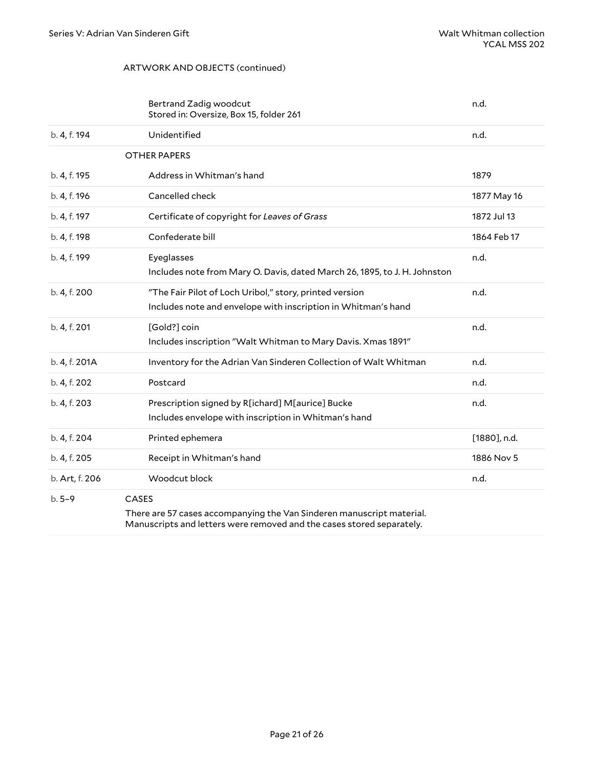#### <span id="page-20-0"></span>ARTWORK AND OBJECTS (continued)

<span id="page-20-3"></span><span id="page-20-2"></span><span id="page-20-1"></span>

|                | Bertrand Zadig woodcut<br>Stored in: Oversize, Box 15, folder 261                                                                                              | n.d.            |
|----------------|----------------------------------------------------------------------------------------------------------------------------------------------------------------|-----------------|
| b. 4, f. 194   | Unidentified                                                                                                                                                   | n.d.            |
|                | <b>OTHER PAPERS</b>                                                                                                                                            |                 |
| b. 4, f. 195   | Address in Whitman's hand                                                                                                                                      | 1879            |
| b. 4, f. 196   | Cancelled check                                                                                                                                                | 1877 May 16     |
| b. 4, f. 197   | Certificate of copyright for Leaves of Grass                                                                                                                   | 1872 Jul 13     |
| b. 4, f. 198   | Confederate bill                                                                                                                                               | 1864 Feb 17     |
| b. 4, f. 199   | Eyeglasses<br>Includes note from Mary O. Davis, dated March 26, 1895, to J. H. Johnston                                                                        | n.d.            |
| b. 4, f. 200   | "The Fair Pilot of Loch Uribol," story, printed version<br>Includes note and envelope with inscription in Whitman's hand                                       | n.d.            |
| b. 4, f. 201   | [Gold?] coin<br>Includes inscription "Walt Whitman to Mary Davis. Xmas 1891"                                                                                   | n.d.            |
| b. 4, f. 201A  | Inventory for the Adrian Van Sinderen Collection of Walt Whitman                                                                                               | n.d.            |
| b. 4, f. 202   | Postcard                                                                                                                                                       | n.d.            |
| b. 4, f. 203   | Prescription signed by R[ichard] M[aurice] Bucke<br>Includes envelope with inscription in Whitman's hand                                                       | n.d.            |
| b. 4, f. 204   | Printed ephemera                                                                                                                                               | $[1880]$ , n.d. |
| b. 4, f. 205   | Receipt in Whitman's hand                                                                                                                                      | 1886 Nov 5      |
| b. Art, f. 206 | Woodcut block                                                                                                                                                  | n.d.            |
| $b.5-9$        | <b>CASES</b><br>There are 57 cases accompanying the Van Sinderen manuscript material.<br>Manuscripts and letters were removed and the cases stored separately. |                 |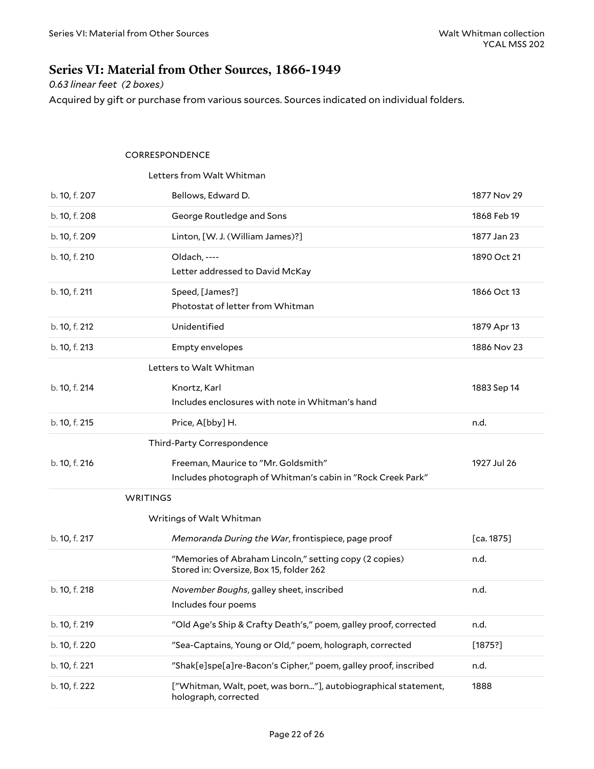# <span id="page-21-0"></span>**Series VI: Material from Other Sources, 1866-1949**

*0.63 linear feet (2 boxes)*

Acquired by gift or purchase from various sources. Sources indicated on individual folders.

#### <span id="page-21-2"></span><span id="page-21-1"></span>CORRESPONDENCE

<span id="page-21-6"></span><span id="page-21-5"></span><span id="page-21-4"></span><span id="page-21-3"></span>

|                 | Letters from Walt Whitman                                                                          |             |
|-----------------|----------------------------------------------------------------------------------------------------|-------------|
| b. 10, f. 207   | Bellows, Edward D.                                                                                 | 1877 Nov 29 |
| b. 10, f. 208   | George Routledge and Sons                                                                          | 1868 Feb 19 |
| b. 10, f. 209   | Linton, [W. J. (William James)?]                                                                   | 1877 Jan 23 |
| b. 10, f. 210   | Oldach, ----<br>Letter addressed to David McKay                                                    | 1890 Oct 21 |
| b. 10, f. 211   | Speed, [James?]<br>Photostat of letter from Whitman                                                | 1866 Oct 13 |
| b. 10, f. 212   | Unidentified                                                                                       | 1879 Apr 13 |
| b. 10, f. 213   | Empty envelopes                                                                                    | 1886 Nov 23 |
|                 | Letters to Walt Whitman                                                                            |             |
| b. 10, f. 214   | Knortz, Karl<br>Includes enclosures with note in Whitman's hand                                    | 1883 Sep 14 |
| b. 10, f. 215   | Price, A[bby] H.                                                                                   | n.d.        |
|                 | Third-Party Correspondence                                                                         |             |
| b. 10, f. 216   | Freeman, Maurice to "Mr. Goldsmith"<br>Includes photograph of Whitman's cabin in "Rock Creek Park" | 1927 Jul 26 |
| <b>WRITINGS</b> |                                                                                                    |             |
|                 | Writings of Walt Whitman                                                                           |             |
| b. 10, f. 217   | Memoranda During the War, frontispiece, page proof                                                 | [ca. 1875]  |
|                 | "Memories of Abraham Lincoln," setting copy (2 copies)<br>Stored in: Oversize, Box 15, folder 262  | n.d.        |
| b. 10, f. 218   | November Boughs, galley sheet, inscribed<br>Includes four poems                                    | n.d.        |
| b. 10, f. 219   | "Old Age's Ship & Crafty Death's," poem, galley proof, corrected                                   | n.d.        |
| b. 10, f. 220   | "Sea-Captains, Young or Old," poem, holograph, corrected                                           | [1875?]     |
| b. 10, f. 221   | "Shak[e]spe[a]re-Bacon's Cipher," poem, galley proof, inscribed                                    | n.d.        |
| b. 10, f. 222   | ["Whitman, Walt, poet, was born"], autobiographical statement,<br>holograph, corrected             | 1888        |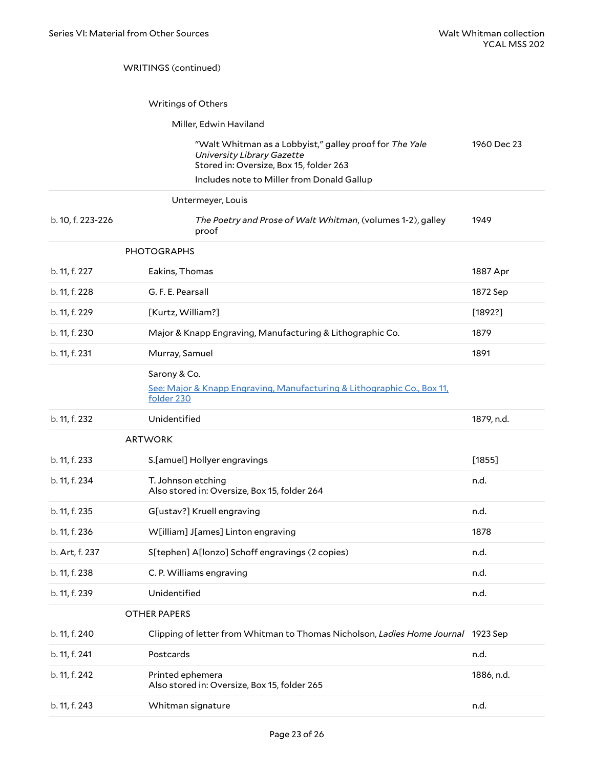#### WRITINGS (continued)

#### <span id="page-22-0"></span>Writings of Others

#### Miller, Edwin Haviland

| "Walt Whitman as a Lobbyist," galley proof for The Yale | 1960 Dec 23 |
|---------------------------------------------------------|-------------|
| University Library Gazette                              |             |
| Stored in: Oversize, Box 15, folder 263                 |             |
| Includes note to Miller from Donald Gallup              |             |

<span id="page-22-1"></span>

| Untermeyer, Louis |  |
|-------------------|--|
|-------------------|--|

| b. 10, f. 223-226 |             | The Poetry and Prose of Walt Whitman, (volumes 1-2), galley<br>proof | 1949 |  |
|-------------------|-------------|----------------------------------------------------------------------|------|--|
|                   | PHOTOGRAPHS |                                                                      |      |  |

<span id="page-22-4"></span>

| b. 11, f. 227 | Eakins, Thomas                                                                                        | 1887 Apr |
|---------------|-------------------------------------------------------------------------------------------------------|----------|
| b. 11, f. 228 | G. F. E. Pearsall                                                                                     | 1872 Sep |
| b. 11, f. 229 | [Kurtz, William?]                                                                                     | [1892?]  |
| b. 11, f. 230 | Major & Knapp Engraving, Manufacturing & Lithographic Co.                                             | 1879     |
| b. 11, f. 231 | Murray, Samuel                                                                                        | 1891     |
|               | Sarony & Co.<br>See: Major & Knapp Engraving, Manufacturing & Lithographic Co., Box 11,<br>folder 230 |          |

| b. 11, f. 232 | Jnidentified<br>. | 1879<br>11.U.<br>$\cdot$ $\cdot$ |
|---------------|-------------------|----------------------------------|
|               |                   |                                  |

<span id="page-22-2"></span>

| <b>ARTWORK</b> |
|----------------|
|----------------|

| b. 11, f. 233  | S.[amuel] Hollyer engravings                                       | [1855] |
|----------------|--------------------------------------------------------------------|--------|
| b. 11, f. 234  | T. Johnson etching<br>Also stored in: Oversize, Box 15, folder 264 | n.d.   |
| b. 11, f. 235  | G[ustav?] Kruell engraving                                         | n.d.   |
| b. 11, f. 236  | W[illiam] J[ames] Linton engraving                                 | 1878   |
| b. Art, f. 237 | S[tephen] A[lonzo] Schoff engravings (2 copies)                    | n.d.   |
| b. 11, f. 238  | C. P. Williams engraving                                           | n.d.   |
| b. 11, f. 239  | Unidentified                                                       | n.d.   |

#### <span id="page-22-3"></span>OTHER PAPERS

| b. 11, f. 240 | Clipping of letter from Whitman to Thomas Nicholson, Ladies Home Journal 1923 Sep |            |
|---------------|-----------------------------------------------------------------------------------|------------|
| b. 11, f. 241 | Postcards                                                                         | n.d.       |
| b. 11, f. 242 | Printed ephemera<br>Also stored in: Oversize, Box 15, folder 265                  | 1886, n.d. |
| b. 11, f. 243 | Whitman signature                                                                 | n.d.       |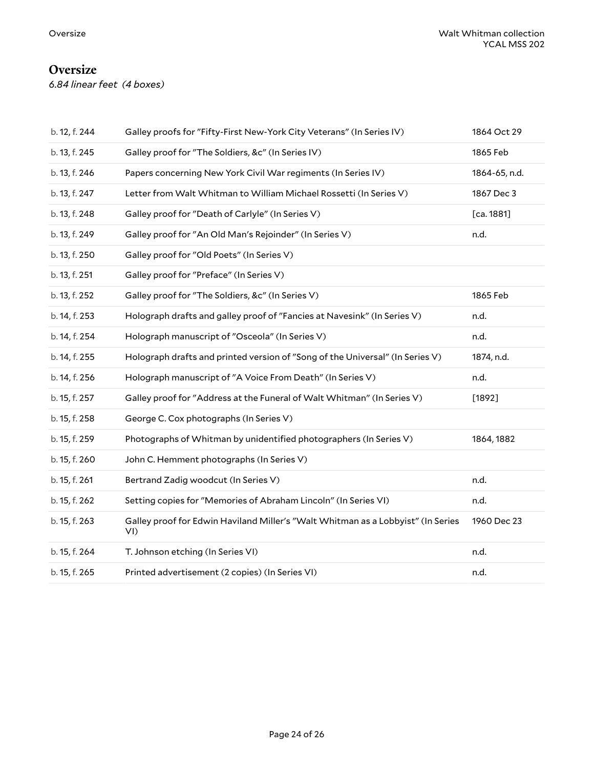# <span id="page-23-0"></span>**Oversize**

*6.84 linear feet (4 boxes)*

| b. 12, f. 244 | Galley proofs for "Fifty-First New-York City Veterans" (In Series IV)                      | 1864 Oct 29   |
|---------------|--------------------------------------------------------------------------------------------|---------------|
| b. 13, f. 245 | Galley proof for "The Soldiers, &c" (In Series IV)                                         | 1865 Feb      |
| b. 13, f. 246 | Papers concerning New York Civil War regiments (In Series IV)                              | 1864-65, n.d. |
| b. 13, f. 247 | Letter from Walt Whitman to William Michael Rossetti (In Series V)                         | 1867 Dec 3    |
| b. 13, f. 248 | Galley proof for "Death of Carlyle" (In Series V)                                          | [ca. 1881]    |
| b. 13, f. 249 | Galley proof for "An Old Man's Rejoinder" (In Series V)                                    | n.d.          |
| b. 13, f. 250 | Galley proof for "Old Poets" (In Series V)                                                 |               |
| b. 13, f. 251 | Galley proof for "Preface" (In Series V)                                                   |               |
| b. 13, f. 252 | Galley proof for "The Soldiers, &c" (In Series V)                                          | 1865 Feb      |
| b. 14, f. 253 | Holograph drafts and galley proof of "Fancies at Navesink" (In Series V)                   | n.d.          |
| b. 14, f. 254 | Holograph manuscript of "Osceola" (In Series V)                                            | n.d.          |
| b. 14, f. 255 | Holograph drafts and printed version of "Song of the Universal" (In Series V)              | 1874, n.d.    |
| b. 14, f. 256 | Holograph manuscript of "A Voice From Death" (In Series V)                                 | n.d.          |
| b. 15, f. 257 | Galley proof for "Address at the Funeral of Walt Whitman" (In Series V)                    | $[1892]$      |
| b. 15, f. 258 | George C. Cox photographs (In Series V)                                                    |               |
| b. 15, f. 259 | Photographs of Whitman by unidentified photographers (In Series V)                         | 1864, 1882    |
| b. 15, f. 260 | John C. Hemment photographs (In Series V)                                                  |               |
| b. 15, f. 261 | Bertrand Zadig woodcut (In Series V)                                                       | n.d.          |
| b. 15, f. 262 | Setting copies for "Memories of Abraham Lincoln" (In Series VI)                            | n.d.          |
| b. 15, f. 263 | Galley proof for Edwin Haviland Miller's "Walt Whitman as a Lobbyist" (In Series<br>$VI$ ) | 1960 Dec 23   |
| b. 15, f. 264 | T. Johnson etching (In Series VI)                                                          | n.d.          |
| b. 15, f. 265 | Printed advertisement (2 copies) (In Series VI)                                            | n.d.          |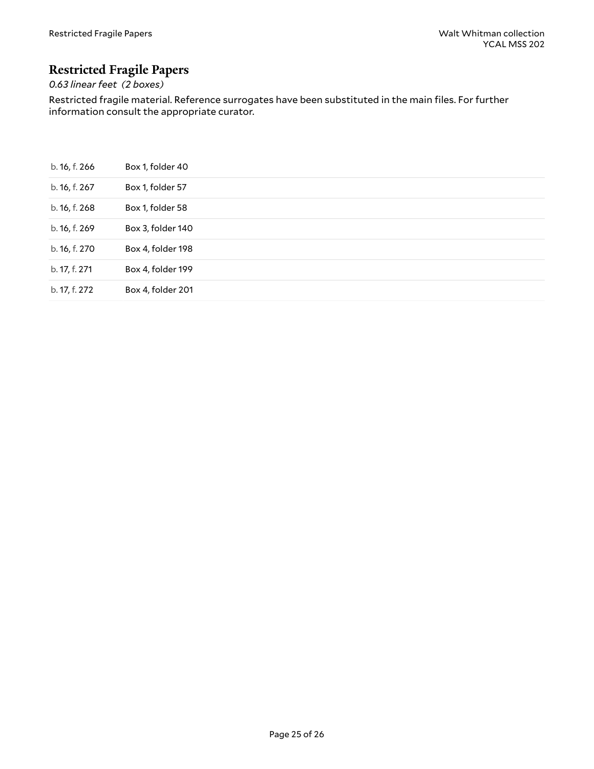# <span id="page-24-0"></span>**Restricted Fragile Papers**

# *0.63 linear feet (2 boxes)*

Restricted fragile material. Reference surrogates have been substituted in the main files. For further information consult the appropriate curator.

| b. 16, f. 266 | Box 1, folder 40  |
|---------------|-------------------|
| b. 16, f. 267 | Box 1, folder 57  |
| b. 16, f. 268 | Box 1, folder 58  |
| b. 16, f. 269 | Box 3, folder 140 |
| b. 16, f. 270 | Box 4, folder 198 |
| b. 17, f. 271 | Box 4, folder 199 |
| b. 17, f. 272 | Box 4, folder 201 |